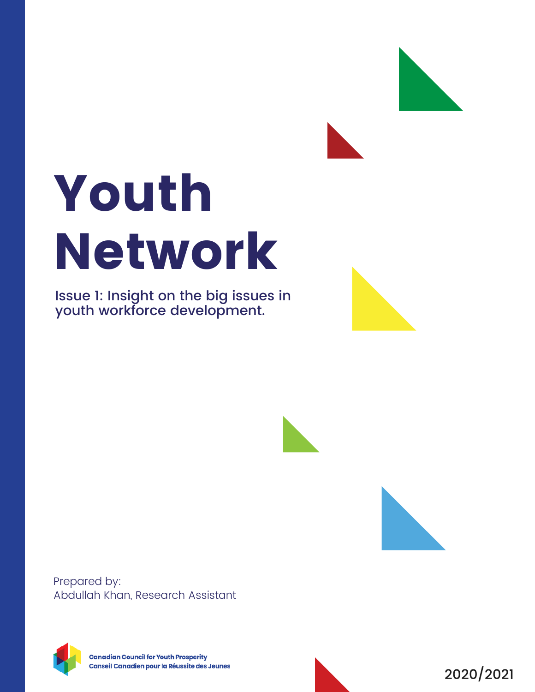# Youth Network

Issue 1: Insight on the big issues in youth workforce development.







Prepared by: Abdullah Khan, Research Assistant



**Canadian Council for Youth Prosperity** Conseil Canadien pour la Réussite des Jeunes

2020/2021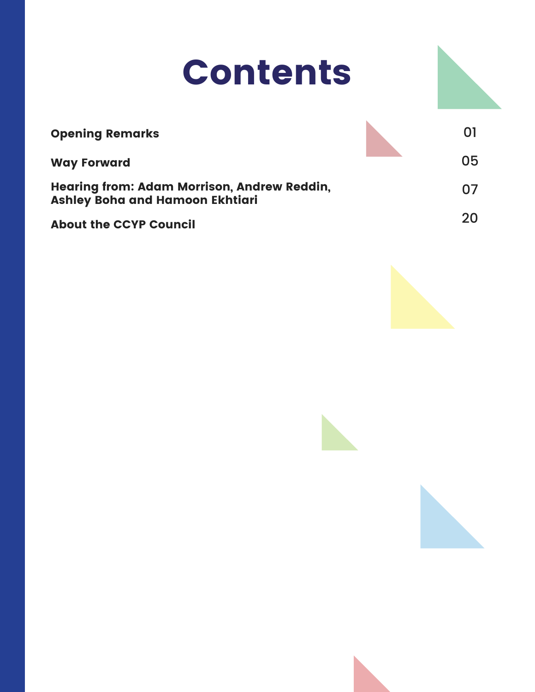## Contents

| <b>Opening Remarks</b>                                                                | O1 |
|---------------------------------------------------------------------------------------|----|
| <b>Way Forward</b>                                                                    | 05 |
| <b>Hearing from: Adam Morrison, Andrew Reddin,</b><br>Ashley Boha and Hamoon Ekhtiari | 07 |
| <b>About the CCYP Council</b>                                                         | 20 |



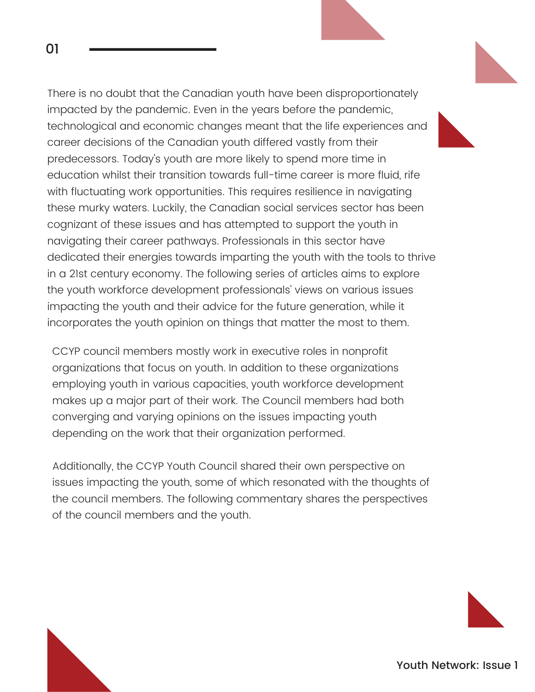There is no doubt that the Canadian youth have been disproportionately impacted by the pandemic. Even in the years before the pandemic, technological and economic changes meant that the life experiences and career decisions of the Canadian youth differed vastly from their predecessors. Today's youth are more likely to spend more time in education whilst their transition towards full-time career is more fluid, rife with fluctuating work opportunities. This requires resilience in navigating these murky waters. Luckily, the Canadian social services sector has been cognizant of these issues and has attempted to support the youth in navigating their career pathways. Professionals in this sector have dedicated their energies towards imparting the youth with the tools to thrive in a 21st century economy. The following series of articles aims to explore the youth workforce development professionals' views on various issues impacting the youth and their advice for the future generation, while it incorporates the youth opinion on things that matter the most to them.

CCYP council members mostly work in executive roles in nonprofit organizations that focus on youth. In addition to these organizations employing youth in various capacities, youth workforce development makes up a major part of their work. The Council members had both converging and varying opinions on the issues impacting youth depending on the work that their organization performed.

Additionally, the CCYP Youth Council shared their own perspective on issues impacting the youth, some of which resonated with the thoughts of the council members. The following commentary shares the perspectives of the council members and the youth.

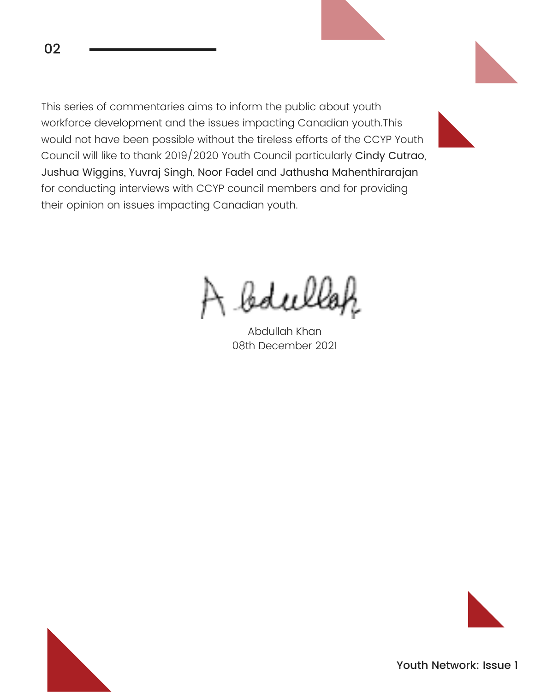This series of commentaries aims to inform the public about youth workforce development and the issues impacting Canadian youth.This would not have been possible without the tireless efforts of the CCYP Youth Council will like to thank 2019/2020 Youth Council particularly Cindy Cutrao, Jushua Wiggins, Yuvraj Singh, Noor Fadel and Jathusha Mahenthirarajan for conducting interviews with CCYP council members and for providing their opinion on issues impacting Canadian youth.

bdulle

Abdullah Khan 08th December 2021



02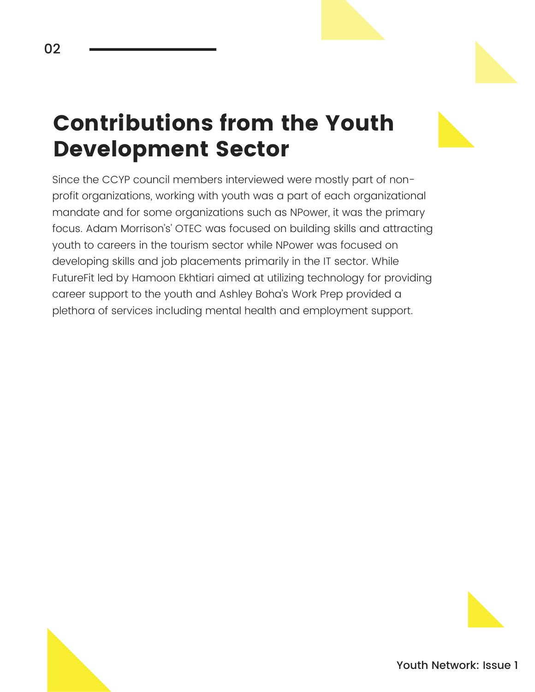### Contributions from the Youth Development Sector

Since the CCYP council members interviewed were mostly part of nonprofit organizations, working with youth was a part of each organizational mandate and for some organizations such as NPower, it was the primary focus. Adam Morrison's' OTEC was focused on building skills and attracting youth to careers in the tourism sector while NPower was focused on developing skills and job placements primarily in the IT sector. While FutureFit led by Hamoon Ekhtiari aimed at utilizing technology for providing career support to the youth and Ashley Boha's Work Prep provided a plethora of services including mental health and employment support.

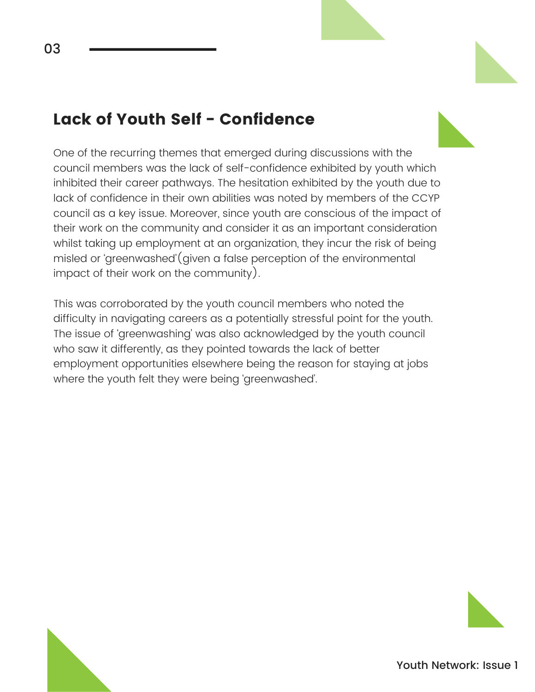#### Lack of Youth Self - Confidence

One of the recurring themes that emerged during discussions with the council members was the lack of self-confidence exhibited by youth which inhibited their career pathways. The hesitation exhibited by the youth due to lack of confidence in their own abilities was noted by members of the CCYP council as a key issue. Moreover, since youth are conscious of the impact of their work on the community and consider it as an important consideration whilst taking up employment at an organization, they incur the risk of being misled or 'greenwashed'(given a false perception of the environmental impact of their work on the community).

This was corroborated by the youth council members who noted the difficulty in navigating careers as a potentially stressful point for the youth. The issue of 'greenwashing' was also acknowledged by the youth council who saw it differently, as they pointed towards the lack of better employment opportunities elsewhere being the reason for staying at jobs where the youth felt they were being 'greenwashed'.

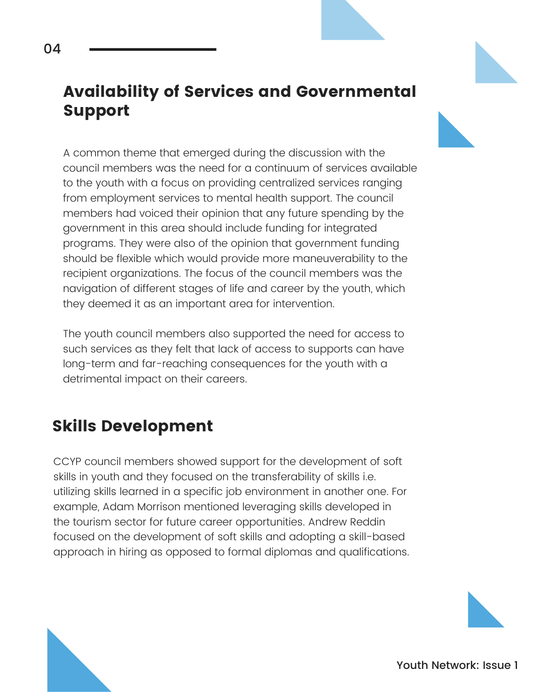#### Availability of Services and Governmental Support

A common theme that emerged during the discussion with the council members was the need for a continuum of services available to the youth with a focus on providing centralized services ranging from employment services to mental health support. The council members had voiced their opinion that any future spending by the government in this area should include funding for integrated programs. They were also of the opinion that government funding should be flexible which would provide more maneuverability to the recipient organizations. The focus of the council members was the navigation of different stages of life and career by the youth, which they deemed it as an important area for intervention.

The youth council members also supported the need for access to such services as they felt that lack of access to supports can have long-term and far-reaching consequences for the youth with a detrimental impact on their careers.

#### Skills Development

CCYP council members showed support for the development of soft skills in youth and they focused on the transferability of skills i.e. utilizing skills learned in a specific job environment in another one. For example, Adam Morrison mentioned leveraging skills developed in the tourism sector for future career opportunities. Andrew Reddin focused on the development of soft skills and adopting a skill-based approach in hiring as opposed to formal diplomas and qualifications.

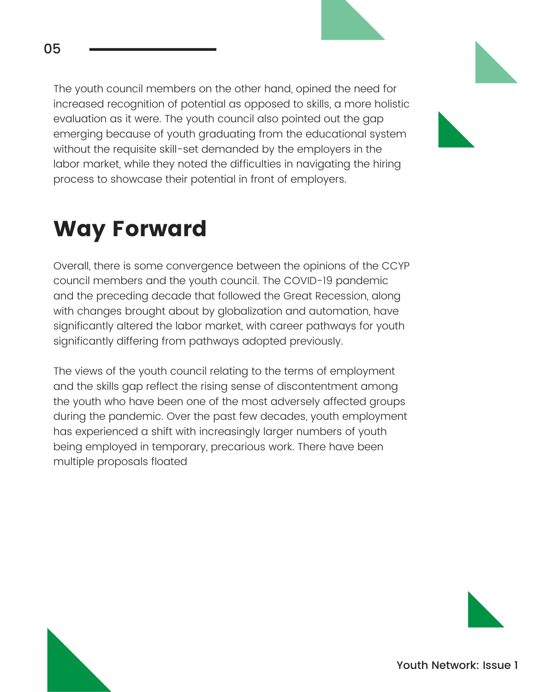The youth council members on the other hand, opined the need for increased recognition of potential as opposed to skills, a more holistic evaluation as it were. The youth council also pointed out the gap emerging because of youth graduating from the educational system without the requisite skill-set demanded by the employers in the labor market, while they noted the difficulties in navigating the hiring process to showcase their potential in front of employers.

### Way Forward

Overall, there is some convergence between the opinions of the CCYP council members and the youth council. The COVID-19 pandemic and the preceding decade that followed the Great Recession, along with changes brought about by globalization and automation, have significantly altered the labor market, with career pathways for youth significantly differing from pathways adopted previously.

The views of the youth council relating to the terms of employment and the skills gap reflect the rising sense of discontentment among the youth who have been one of the most adversely affected groups during the pandemic. Over the past few decades, youth employment has experienced a shift with increasingly larger numbers of youth being employed in temporary, precarious work. There have been multiple proposals floated

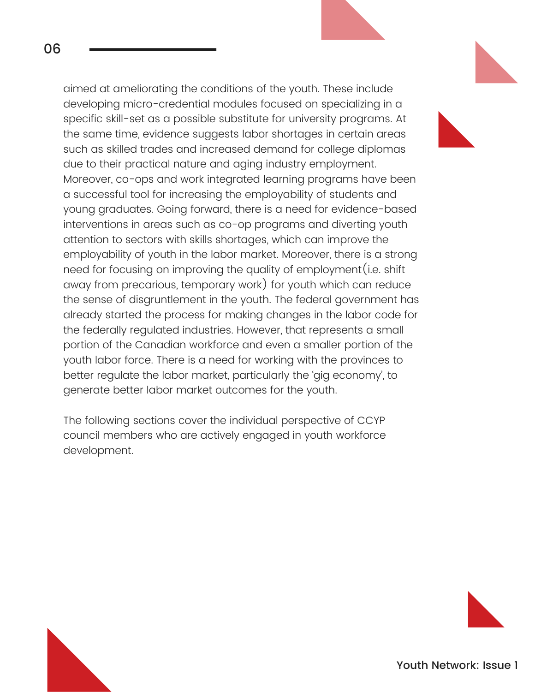aimed at ameliorating the conditions of the youth. These include developing micro-credential modules focused on specializing in a specific skill-set as a possible substitute for university programs. At the same time, evidence suggests labor shortages in certain areas such as skilled trades and increased demand for college diplomas due to their practical nature and aging industry employment. Moreover, co-ops and work integrated learning programs have been a successful tool for increasing the employability of students and young graduates. Going forward, there is a need for evidence-based interventions in areas such as co-op programs and diverting youth attention to sectors with skills shortages, which can improve the employability of youth in the labor market. Moreover, there is a strong need for focusing on improving the quality of employment(i.e. shift away from precarious, temporary work) for youth which can reduce the sense of disgruntlement in the youth. The federal government has already started the process for making changes in the labor code for the federally regulated industries. However, that represents a small portion of the Canadian workforce and even a smaller portion of the youth labor force. There is a need for working with the provinces to better regulate the labor market, particularly the 'gig economy', to generate better labor market outcomes for the youth.

The following sections cover the individual perspective of CCYP council members who are actively engaged in youth workforce development.



Youth Network: Issue 1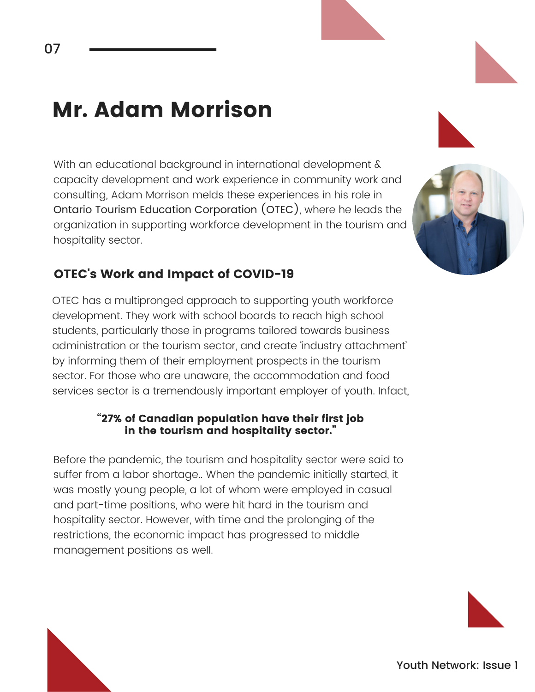### Mr. Adam Morrison

With an educational background in international development & capacity development and work experience in community work and consulting, Adam Morrison melds these experiences in his role in Ontario Tourism Education Corporation (OTEC), where he leads the organization in supporting workforce development in the tourism and hospitality sector.

#### OTEC's Work and Impact of COVID-19

OTEC has a multipronged approach to supporting youth workforce development. They work with school boards to reach high school students, particularly those in programs tailored towards business administration or the tourism sector, and create 'industry attachment' by informing them of their employment prospects in the tourism sector. For those who are unaware, the accommodation and food services sector is a tremendously important employer of youth. Infact,

#### "27% of Canadian population have their first job in the tourism and hospitality sector."

Before the pandemic, the tourism and hospitality sector were said to suffer from a labor shortage.. When the pandemic initially started, it was mostly young people, a lot of whom were employed in casual and part-time positions, who were hit hard in the tourism and hospitality sector. However, with time and the prolonging of the restrictions, the economic impact has progressed to middle management positions as well.



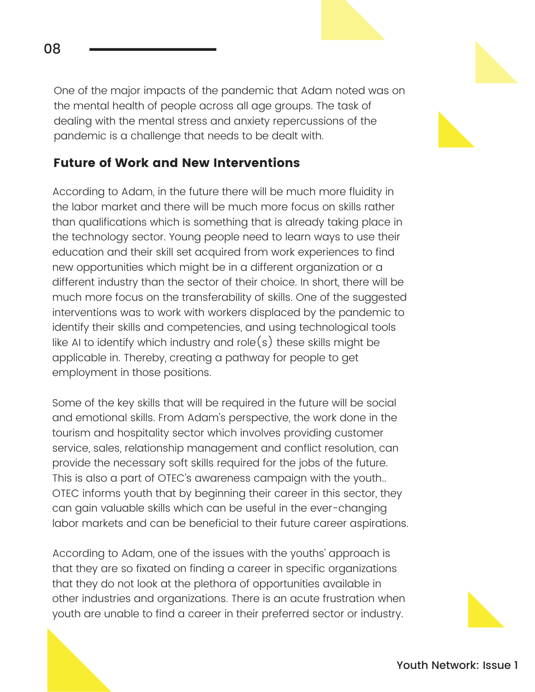One of the major impacts of the pandemic that Adam noted was on the mental health of people across all age groups. The task of dealing with the mental stress and anxiety repercussions of the pandemic is a challenge that needs to be dealt with.

#### Future of Work and New Interventions

According to Adam, in the future there will be much more fluidity in the labor market and there will be much more focus on skills rather than qualifications which is something that is already taking place in the technology sector. Young people need to learn ways to use their education and their skill set acquired from work experiences to find new opportunities which might be in a different organization or a different industry than the sector of their choice. In short, there will be much more focus on the transferability of skills. One of the suggested interventions was to work with workers displaced by the pandemic to identify their skills and competencies, and using technological tools like AI to identify which industry and role $(s)$  these skills might be applicable in. Thereby, creating a pathway for people to get employment in those positions.

Some of the key skills that will be required in the future will be social and emotional skills. From Adam's perspective, the work done in the tourism and hospitality sector which involves providing customer service, sales, relationship management and conflict resolution, can provide the necessary soft skills required for the jobs of the future. This is also a part of OTEC's awareness campaign with the youth.. OTEC informs youth that by beginning their career in this sector, they can gain valuable skills which can be useful in the ever-changing labor markets and can be beneficial to their future career aspirations.

According to Adam, one of the issues with the youths' approach is that they are so fixated on finding a career in specific organizations that they do not look at the plethora of opportunities available in other industries and organizations. There is an acute frustration when youth are unable to find a career in their preferred sector or industry.

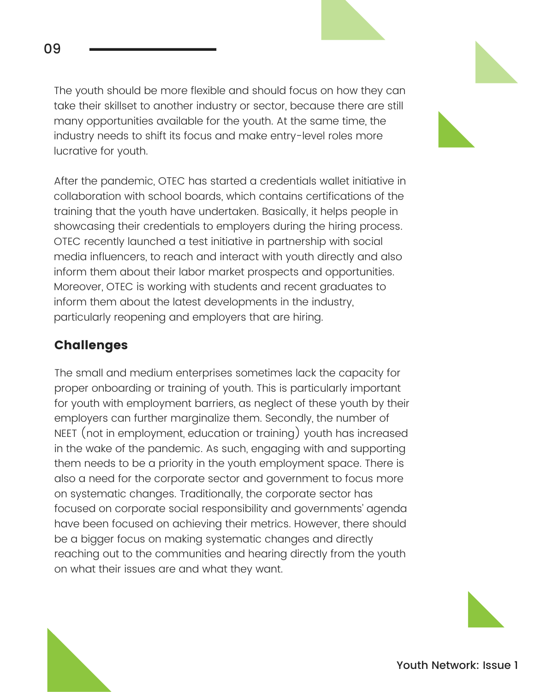The youth should be more flexible and should focus on how they can take their skillset to another industry or sector, because there are still many opportunities available for the youth. At the same time, the industry needs to shift its focus and make entry-level roles more lucrative for youth.

After the pandemic, OTEC has started a credentials wallet initiative in collaboration with school boards, which contains certifications of the training that the youth have undertaken. Basically, it helps people in showcasing their credentials to employers during the hiring process. OTEC recently launched a test initiative in partnership with social media influencers, to reach and interact with youth directly and also inform them about their labor market prospects and opportunities. Moreover, OTEC is working with students and recent graduates to inform them about the latest developments in the industry, particularly reopening and employers that are hiring.

#### Challenges

The small and medium enterprises sometimes lack the capacity for proper onboarding or training of youth. This is particularly important for youth with employment barriers, as neglect of these youth by their employers can further marginalize them. Secondly, the number of NEET (not in employment, education or training) youth has increased in the wake of the pandemic. As such, engaging with and supporting them needs to be a priority in the youth employment space. There is also a need for the corporate sector and government to focus more on systematic changes. Traditionally, the corporate sector has focused on corporate social responsibility and governments' agenda have been focused on achieving their metrics. However, there should be a bigger focus on making systematic changes and directly reaching out to the communities and hearing directly from the youth on what their issues are and what they want.

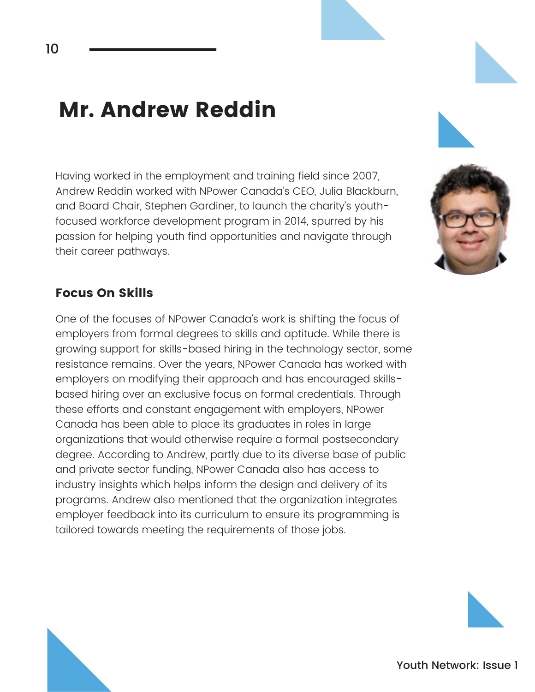### Mr. Andrew Reddin

Having worked in the employment and training field since 2007, Andrew Reddin worked with NPower Canada's CEO, Julia Blackburn, and Board Chair, Stephen Gardiner, to launch the charity's youthfocused workforce development program in 2014, spurred by his passion for helping youth find opportunities and navigate through their career pathways.

#### Focus On Skills

One of the focuses of NPower Canada's work is shifting the focus of employers from formal degrees to skills and aptitude. While there is growing support for skills-based hiring in the technology sector, some resistance remains. Over the years, NPower Canada has worked with employers on modifying their approach and has encouraged skillsbased hiring over an exclusive focus on formal credentials. Through these efforts and constant engagement with employers, NPower Canada has been able to place its graduates in roles in large organizations that would otherwise require a formal postsecondary degree. According to Andrew, partly due to its diverse base of public and private sector funding, NPower Canada also has access to industry insights which helps inform the design and delivery of its programs. Andrew also mentioned that the organization integrates employer feedback into its curriculum to ensure its programming is tailored towards meeting the requirements of those jobs.



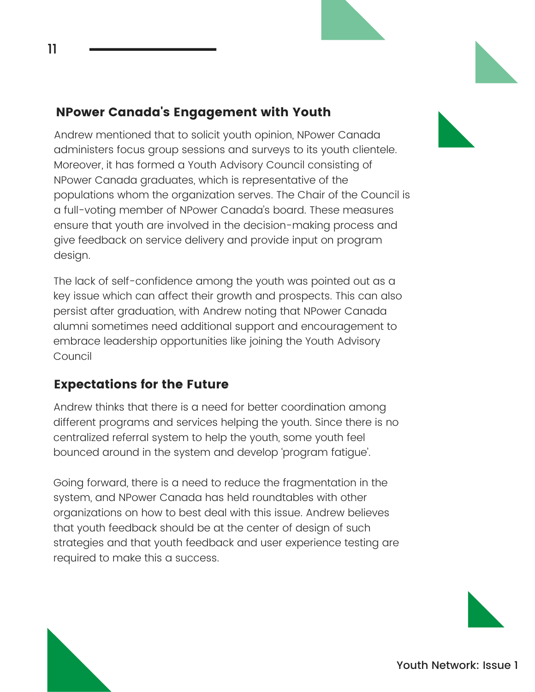#### NPower Canada's Engagement with Youth

11

Andrew mentioned that to solicit youth opinion, NPower Canada administers focus group sessions and surveys to its youth clientele. Moreover, it has formed a Youth Advisory Council consisting of NPower Canada graduates, which is representative of the populations whom the organization serves. The Chair of the Council is a full-voting member of NPower Canada's board. These measures ensure that youth are involved in the decision-making process and give feedback on service delivery and provide input on program design.

The lack of self-confidence among the youth was pointed out as a key issue which can affect their growth and prospects. This can also persist after graduation, with Andrew noting that NPower Canada alumni sometimes need additional support and encouragement to embrace leadership opportunities like joining the Youth Advisory Council

#### Expectations for the Future

Andrew thinks that there is a need for better coordination among different programs and services helping the youth. Since there is no centralized referral system to help the youth, some youth feel bounced around in the system and develop 'program fatigue'.

Going forward, there is a need to reduce the fragmentation in the system, and NPower Canada has held roundtables with other organizations on how to best deal with this issue. Andrew believes that youth feedback should be at the center of design of such strategies and that youth feedback and user experience testing are required to make this a success.

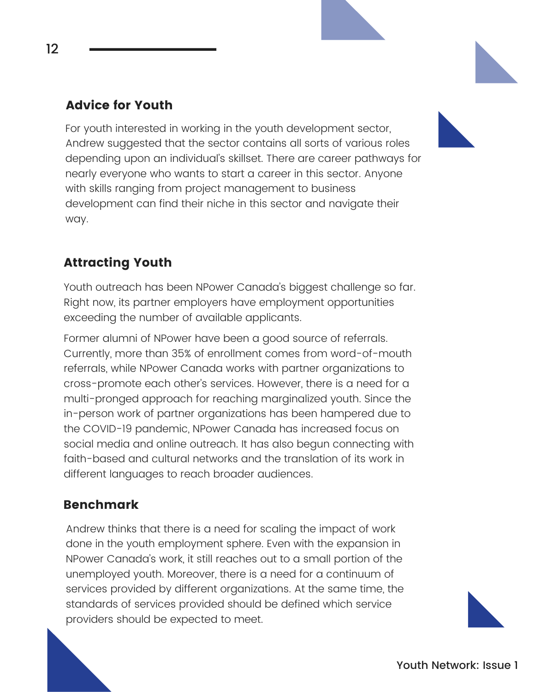#### Advice for Youth

For youth interested in working in the youth development sector, Andrew suggested that the sector contains all sorts of various roles depending upon an individual's skillset. There are career pathways for nearly everyone who wants to start a career in this sector. Anyone with skills ranging from project management to business development can find their niche in this sector and navigate their way.



#### Attracting Youth

Youth outreach has been NPower Canada's biggest challenge so far. Right now, its partner employers have employment opportunities exceeding the number of available applicants.

Former alumni of NPower have been a good source of referrals. Currently, more than 35% of enrollment comes from word-of-mouth referrals, while NPower Canada works with partner organizations to cross-promote each other's services. However, there is a need for a multi-pronged approach for reaching marginalized youth. Since the in-person work of partner organizations has been hampered due to the COVID-19 pandemic, NPower Canada has increased focus on social media and online outreach. It has also begun connecting with faith-based and cultural networks and the translation of its work in different languages to reach broader audiences.

#### Benchmark

Andrew thinks that there is a need for scaling the impact of work done in the youth employment sphere. Even with the expansion in NPower Canada's work, it still reaches out to a small portion of the unemployed youth. Moreover, there is a need for a continuum of services provided by different organizations. At the same time, the standards of services provided should be defined which service providers should be expected to meet.



12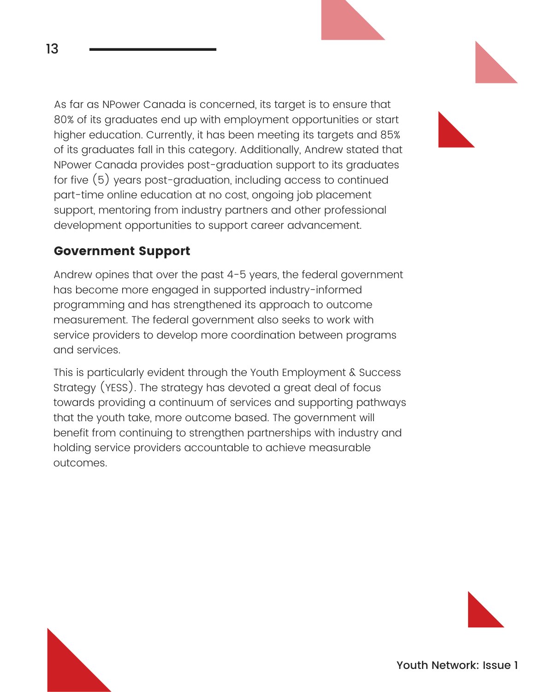As far as NPower Canada is concerned, its target is to ensure that 80% of its graduates end up with employment opportunities or start higher education. Currently, it has been meeting its targets and 85% of its graduates fall in this category. Additionally, Andrew stated that NPower Canada provides post-graduation support to its graduates for five (5) years post-graduation, including access to continued part-time online education at no cost, ongoing job placement support, mentoring from industry partners and other professional development opportunities to support career advancement.

#### Government Support

13

Andrew opines that over the past 4-5 years, the federal government has become more engaged in supported industry-informed programming and has strengthened its approach to outcome measurement. The federal government also seeks to work with service providers to develop more coordination between programs and services.

This is particularly evident through the Youth Employment & Success Strategy (YESS). The strategy has devoted a great deal of focus towards providing a continuum of services and supporting pathways that the youth take, more outcome based. The government will benefit from continuing to strengthen partnerships with industry and holding service providers accountable to achieve measurable outcomes.

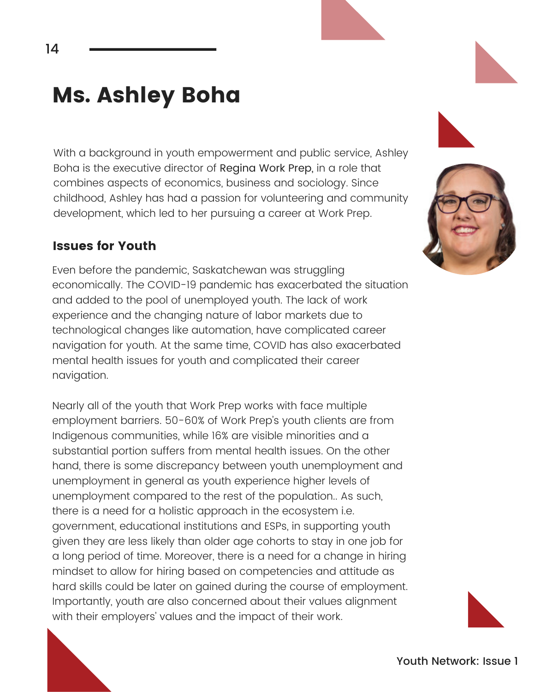### Ms. Ashley Boha

With a background in youth empowerment and public service, Ashley Boha is the executive director of Regina Work Prep, in a role that combines aspects of economics, business and sociology. Since childhood, Ashley has had a passion for volunteering and community development, which led to her pursuing a career at Work Prep.

#### Issues for Youth

Even before the pandemic, Saskatchewan was struggling economically. The COVID-19 pandemic has exacerbated the situation and added to the pool of unemployed youth. The lack of work experience and the changing nature of labor markets due to technological changes like automation, have complicated career navigation for youth. At the same time, COVID has also exacerbated mental health issues for youth and complicated their career navigation.

Nearly all of the youth that Work Prep works with face multiple employment barriers. 50-60% of Work Prep's youth clients are from Indigenous communities, while 16% are visible minorities and a substantial portion suffers from mental health issues. On the other hand, there is some discrepancy between youth unemployment and unemployment in general as youth experience higher levels of unemployment compared to the rest of the population.. As such, there is a need for a holistic approach in the ecosystem i.e. government, educational institutions and ESPs, in supporting youth given they are less likely than older age cohorts to stay in one job for a long period of time. Moreover, there is a need for a change in hiring mindset to allow for hiring based on competencies and attitude as hard skills could be later on gained during the course of employment. Importantly, youth are also concerned about their values alignment with their employers' values and the impact of their work.





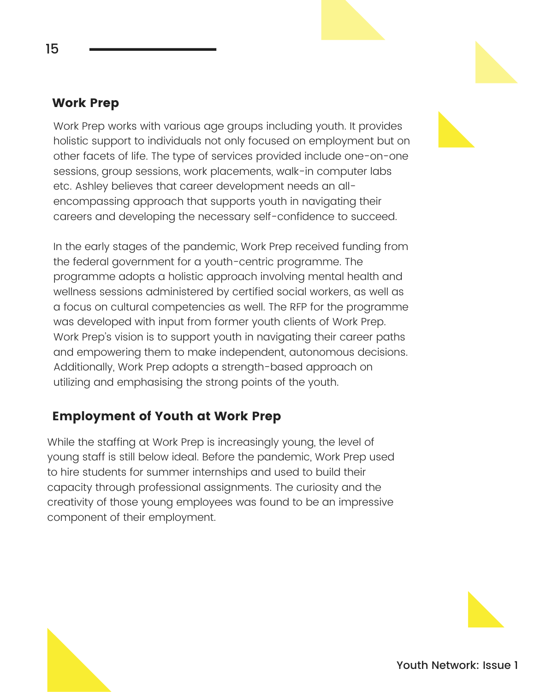#### Work Prep

15

Work Prep works with various age groups including youth. It provides holistic support to individuals not only focused on employment but on other facets of life. The type of services provided include one-on-one sessions, group sessions, work placements, walk-in computer labs etc. Ashley believes that career development needs an allencompassing approach that supports youth in navigating their careers and developing the necessary self-confidence to succeed.

In the early stages of the pandemic, Work Prep received funding from the federal government for a youth-centric programme. The programme adopts a holistic approach involving mental health and wellness sessions administered by certified social workers, as well as a focus on cultural competencies as well. The RFP for the programme was developed with input from former youth clients of Work Prep. Work Prep's vision is to support youth in navigating their career paths and empowering them to make independent, autonomous decisions. Additionally, Work Prep adopts a strength-based approach on utilizing and emphasising the strong points of the youth.

#### Employment of Youth at Work Prep

While the staffing at Work Prep is increasingly young, the level of young staff is still below ideal. Before the pandemic, Work Prep used to hire students for summer internships and used to build their capacity through professional assignments. The curiosity and the creativity of those young employees was found to be an impressive component of their employment.

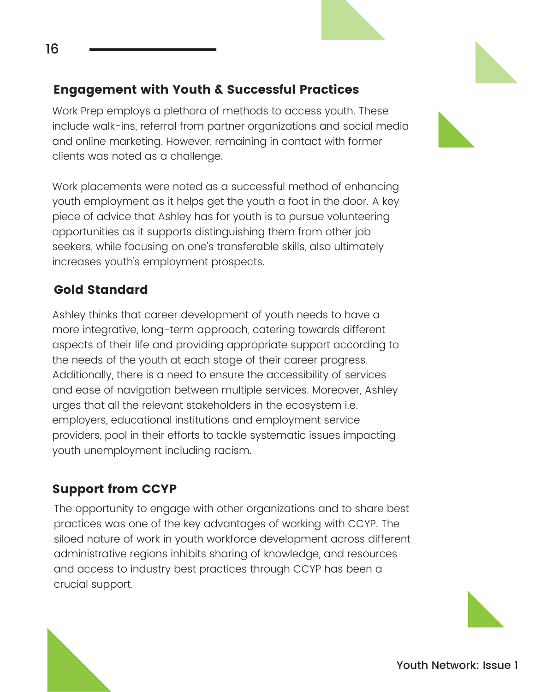#### Engagement with Youth & Successful Practices

Work Prep employs a plethora of methods to access youth. These include walk-ins, referral from partner organizations and social media and online marketing. However, remaining in contact with former clients was noted as a challenge.

Work placements were noted as a successful method of enhancing youth employment as it helps get the youth a foot in the door. A key piece of advice that Ashley has for youth is to pursue volunteering opportunities as it supports distinguishing them from other job seekers, while focusing on one's transferable skills, also ultimately increases youth's employment prospects.

#### Gold Standard

16

Ashley thinks that career development of youth needs to have a more integrative, long-term approach, catering towards different aspects of their life and providing appropriate support according to the needs of the youth at each stage of their career progress. Additionally, there is a need to ensure the accessibility of services and ease of navigation between multiple services. Moreover, Ashley urges that all the relevant stakeholders in the ecosystem i.e. employers, educational institutions and employment service providers, pool in their efforts to tackle systematic issues impacting youth unemployment including racism.

#### Support from CCYP

The opportunity to engage with other organizations and to share best practices was one of the key advantages of working with CCYP. The siloed nature of work in youth workforce development across different administrative regions inhibits sharing of knowledge, and resources and access to industry best practices through CCYP has been a crucial support.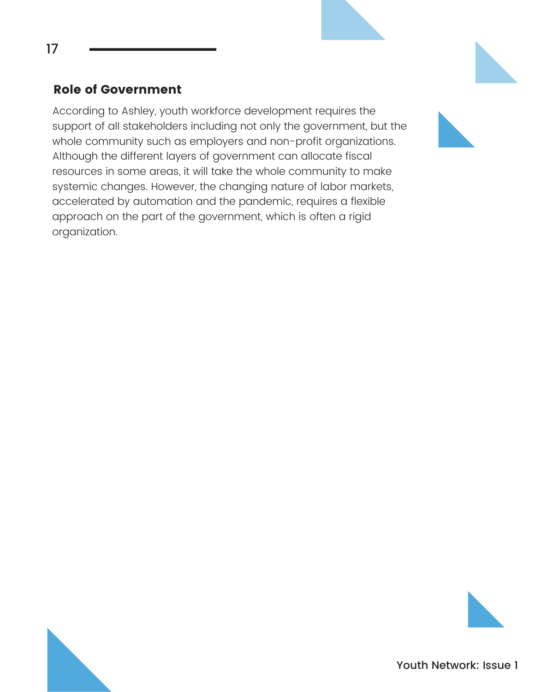#### Role of Government

According to Ashley, youth workforce development requires the support of all stakeholders including not only the government, but the whole community such as employers and non-profit organizations. Although the different layers of government can allocate fiscal resources in some areas, it will take the whole community to make systemic changes. However, the changing nature of labor markets, accelerated by automation and the pandemic, requires a flexible approach on the part of the government, which is often a rigid organization.

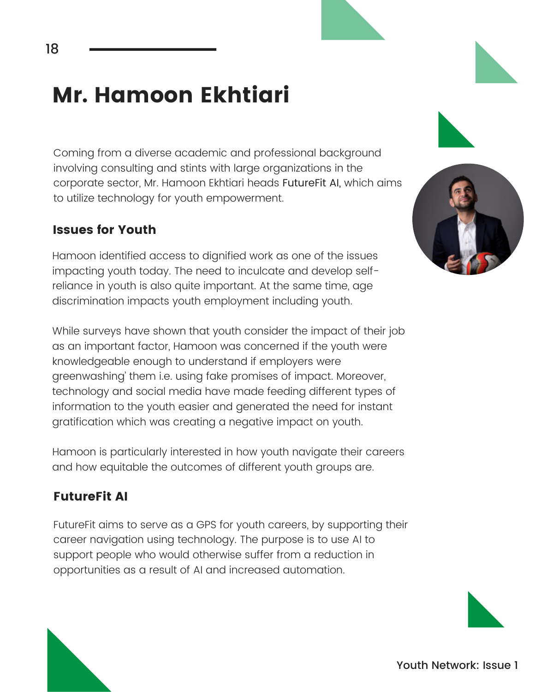### Mr. Hamoon Ekhtiari

Coming from a diverse academic and professional background involving consulting and stints with large organizations in the corporate sector, Mr. Hamoon Ekhtiari heads FutureFit AI, which aims to utilize technology for youth empowerment.

#### Issues for Youth

Hamoon identified access to dignified work as one of the issues impacting youth today. The need to inculcate and develop selfreliance in youth is also quite important. At the same time, age discrimination impacts youth employment including youth.

While surveys have shown that youth consider the impact of their job as an important factor, Hamoon was concerned if the youth were knowledgeable enough to understand if employers were greenwashing' them i.e. using fake promises of impact. Moreover, technology and social media have made feeding different types of information to the youth easier and generated the need for instant gratification which was creating a negative impact on youth.

Hamoon is particularly interested in how youth navigate their careers and how equitable the outcomes of different youth groups are.

#### FutureFit AI

FutureFit aims to serve as a GPS for youth careers, by supporting their career navigation using technology. The purpose is to use AI to support people who would otherwise suffer from a reduction in opportunities as a result of AI and increased automation.







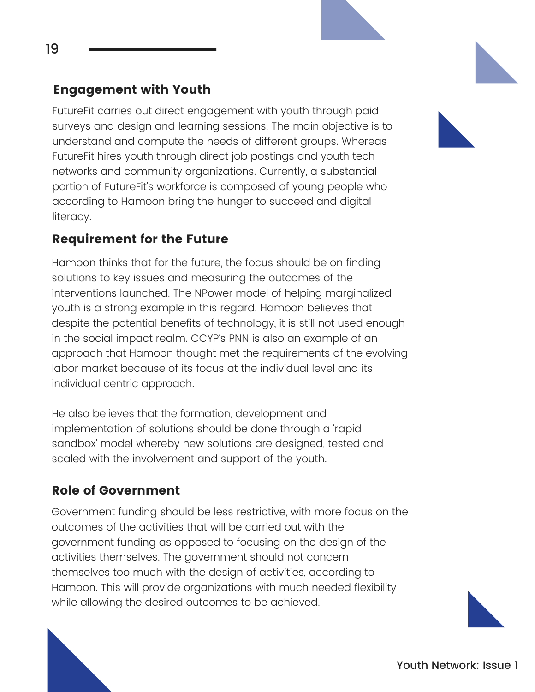FutureFit carries out direct engagement with youth through paid surveys and design and learning sessions. The main objective is to understand and compute the needs of different groups. Whereas FutureFit hires youth through direct job postings and youth tech networks and community organizations. Currently, a substantial portion of FutureFit's workforce is composed of young people who according to Hamoon bring the hunger to succeed and digital literacy.

#### Requirement for the Future

Hamoon thinks that for the future, the focus should be on finding solutions to key issues and measuring the outcomes of the interventions launched. The NPower model of helping marginalized youth is a strong example in this regard. Hamoon believes that despite the potential benefits of technology, it is still not used enough in the social impact realm. CCYP's PNN is also an example of an approach that Hamoon thought met the requirements of the evolving labor market because of its focus at the individual level and its individual centric approach.

He also believes that the formation, development and implementation of solutions should be done through a 'rapid sandbox' model whereby new solutions are designed, tested and scaled with the involvement and support of the youth.

#### Role of Government

Government funding should be less restrictive, with more focus on the outcomes of the activities that will be carried out with the government funding as opposed to focusing on the design of the activities themselves. The government should not concern themselves too much with the design of activities, according to Hamoon. This will provide organizations with much needed flexibility while allowing the desired outcomes to be achieved.

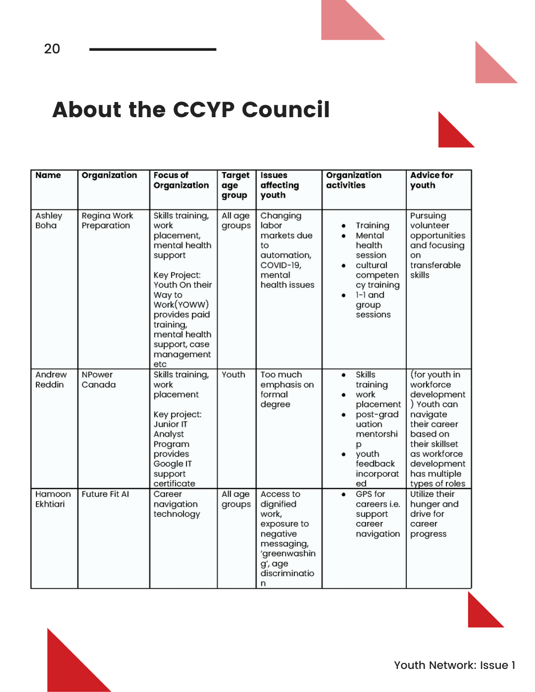

### About the CCYP Council

20

| <b>Name</b>        | Organization               | <b>Focus of</b><br>Organization                                                                                                                                                                                   | <b>Target</b><br>age<br>group | <b>Issues</b><br>affecting<br>youth                                                                                       | Organization<br>activities                                                                                                            | <b>Advice for</b><br>youth                                                                                                                                                          |
|--------------------|----------------------------|-------------------------------------------------------------------------------------------------------------------------------------------------------------------------------------------------------------------|-------------------------------|---------------------------------------------------------------------------------------------------------------------------|---------------------------------------------------------------------------------------------------------------------------------------|-------------------------------------------------------------------------------------------------------------------------------------------------------------------------------------|
| Ashley<br>Boha     | Regina Work<br>Preparation | Skills training,<br>work<br>placement,<br>mental health<br>support<br>Key Project:<br>Youth On their<br>Way to<br>Work(YOWW)<br>provides paid<br>training,<br>mental health<br>support, case<br>management<br>etc | All age<br>groups             | Changing<br>labor<br>markets due<br>to<br>automation,<br>COVID-19,<br>mental<br>health issues                             | Training<br>Mental<br>health<br>session<br>cultural<br>٠<br>competen<br>cy training<br>$l-1$ and<br>group<br>sessions                 | Pursuing<br>volunteer<br>opportunities<br>and focusing<br>on<br>transferable<br>skills                                                                                              |
| Andrew<br>Reddin   | NPower<br>Canada           | Skills training,<br>work<br>placement<br>Key project:<br>Junior IT<br>Analyst<br>Program<br>provides<br>Google IT<br>support<br>certificate                                                                       | Youth                         | Too much<br>emphasis on<br>formal<br>degree                                                                               | <b>Skills</b><br>٠<br>training<br>work<br>placement<br>post-grad<br>uation<br>mentorshi<br>р<br>youth<br>feedback<br>incorporat<br>ed | (for youth in<br>workforce<br>development<br>) Youth can<br>navigate<br>their career<br>based on<br>their skillset<br>as workforce<br>development<br>has multiple<br>types of roles |
| Hamoon<br>Ekhtiari | <b>Future Fit AI</b>       | Career<br>navigation<br>technology                                                                                                                                                                                | All age<br>groups             | Access to<br>dignified<br>work,<br>exposure to<br>negative<br>messaging,<br>'greenwashin<br>g', age<br>discriminatio<br>n | GPS for<br>٠<br>careers i.e.<br>support<br>career<br>navigation                                                                       | Utilize their<br>hunger and<br>drive for<br>career<br>progress                                                                                                                      |